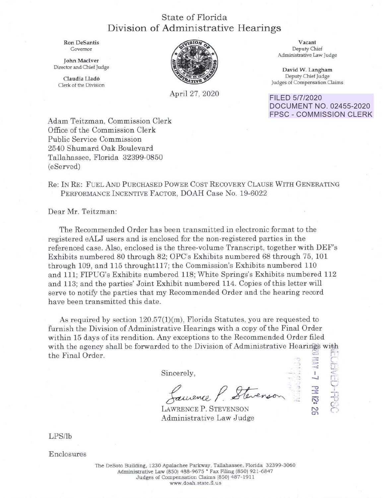## State of Florida Division of Administrative Hearings

Ron DeSantis Governor

John Maciver Director and Chief Judge

Oaudia Llad6 Clerk of the Division



April 27, 2020

**Vacant**  Deputy Chief Administrative law Judge

**David W. Langham**  Deputy Chief Judge Judges of Compensation Oaims

FILED 5/7/2020 DOCUMENT NO. 02455-2020 FPSC - COMMISSION CLERK

> **:o-** ,-:.,.. c..r\_  $\blacksquare$ **-.J** n

**-0** , **::::i:** .

 $\tilde{\omega}$   $\sim$  $e^{i\frac{1}{2}}$ 

°'

-.

Adam Teitzman, Commission Clerk Office of the Commission Clerk Public Service Commission 2540 Shumard Oak Boulevard Tallahassee, Florida 32399-0850 (eServed)

## Re: IN RE: FUEL AND PURCHASED POWER COST RECOVERY CLAUSE WITH GENERATING PERFORMANCE INCENTIVE FACTOR, DOAH Case No. 19-6022

Dear Mr. Teitzman:

The Recommended Order has been transmitted in electronic format to the registered eALJ users and is enclosed for the non-registered parties in the referenced case. Also, enclosed is the three-volume Transcript, together with DEF's Exhibits numbered 80 through 82; OPC's Exhibits numbered 68 through 75, **101**  through 109, and 115 throught117; the Commission's Exhibits numbered 110 and 111; FIPUG's Exhibits numbered 118; White Springs's Exhibits numbered 112 and 113; and the parties' Joint Exhibit numbered 114. Copies of this letter will serve to notify the parties that my Recommended Order and the hearing record have been transmitted this date.

As required by section 120.57(1)(m), Florida Statutes, you are requested to furnish the Division of Administrative Hearings with a copy of the Final Order within 15 days of its rendition. Any exceptions to the Recommended Order filed with the agency shall be forwarded to the Division of Administrative Hearings with the Final Order.

Sincerely,

Laurence P. Stevenson

LAWRENCE P. STEVENSON Administrative Law Judge

LPS/lb

Enclosures